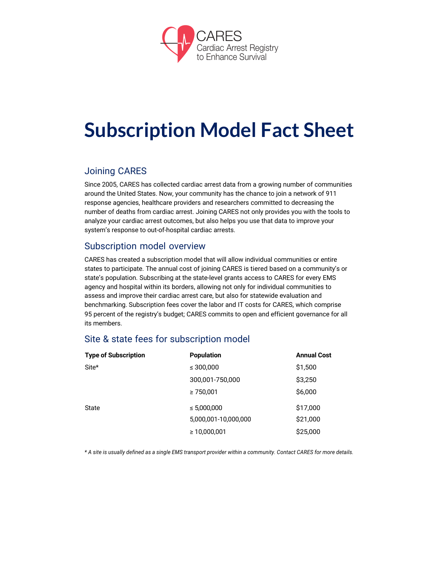

# **Subscription Model Fact Sheet**

# Joining CARES

Since 2005, CARES has collected cardiac arrest data from a growing number of communities around the United States. Now, your community has the chance to join a network of 911 response agencies, healthcare providers and researchers committed to decreasing the number of deaths from cardiac arrest. Joining CARES not only provides you with the tools to analyze your cardiac arrest outcomes, but also helps you use that data to improve your system's response to out-of-hospital cardiac arrests.

# Subscription model overview

CARES has created a subscription model that will allow individual communities or entire states to participate. The annual cost of joining CARES is tiered based on a community's or state's population. Subscribing at the state-level grants access to CARES for every EMS agency and hospital within its borders, allowing not only for individual communities to assess and improve their cardiac arrest care, but also for statewide evaluation and benchmarking. Subscription fees cover the labor and IT costs for CARES, which comprise 95 percent of the registry's budget; CARES commits to open and efficient governance for all its members.

## Site & state fees for subscription model

| <b>Type of Subscription</b> | <b>Population</b>    | <b>Annual Cost</b> |
|-----------------------------|----------------------|--------------------|
| Site*                       | ≤ 300,000            | \$1,500            |
|                             | 300,001-750,000      | \$3,250            |
|                             | $\geq 750,001$       | \$6,000            |
| State                       | ≤ 5,000,000          | \$17,000           |
|                             | 5,000,001-10,000,000 | \$21,000           |
|                             | $\geq 10,000,001$    | \$25,000           |

\* A site is usually defined as a single EMS transport provider within a community. Contact CARES for more details.